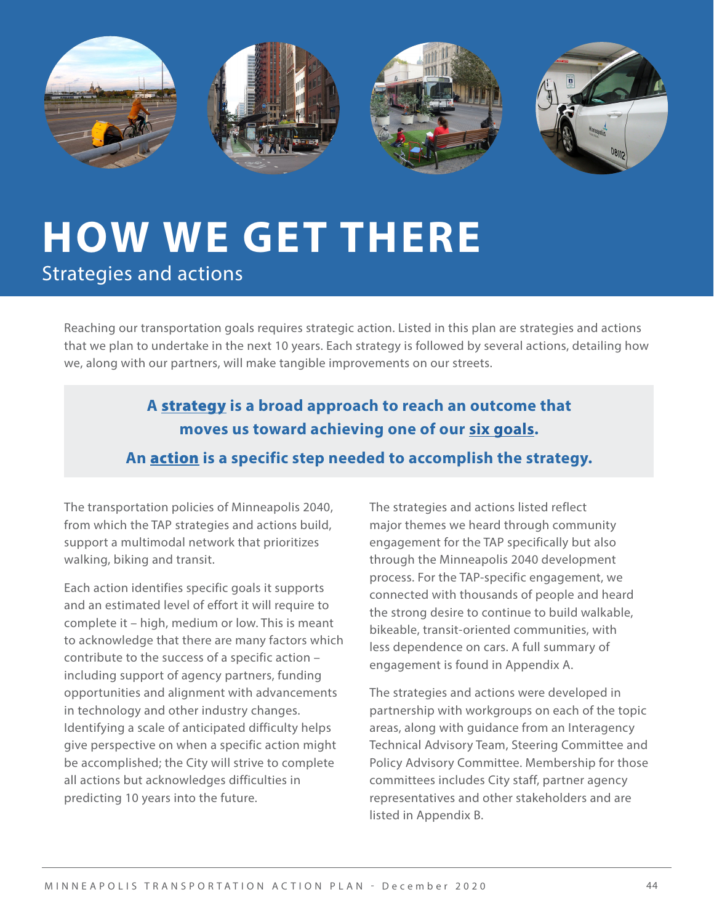

## **HOW WE GET THERE** Strategies and actions

Reaching our transportation goals requires strategic action. Listed in this plan are strategies and actions that we plan to undertake in the next 10 years. Each strategy is followed by several actions, detailing how we, along with our partners, will make tangible improvements on our streets.

## **A** strategy **is a broad approach to reach an outcome that moves us toward achieving one of our [six goals](http://go.minneapolismn.gov/goals-strategies). An** action **is a specific step needed to accomplish the strategy.**

The transportation policies of Minneapolis 2040, from which the TAP strategies and actions build, support a multimodal network that prioritizes walking, biking and transit.

Each action identifies specific goals it supports and an estimated level of effort it will require to complete it – high, medium or low. This is meant to acknowledge that there are many factors which contribute to the success of a specific action – including support of agency partners, funding opportunities and alignment with advancements in technology and other industry changes. Identifying a scale of anticipated difficulty helps give perspective on when a specific action might be accomplished; the City will strive to complete all actions but acknowledges difficulties in predicting 10 years into the future.

The strategies and actions listed reflect major themes we heard through community engagement for the TAP specifically but also through the Minneapolis 2040 development process. For the TAP-specific engagement, we connected with thousands of people and heard the strong desire to continue to build walkable, bikeable, transit-oriented communities, with less dependence on cars. A full summary of engagement is found in Appendix A.

The strategies and actions were developed in partnership with workgroups on each of the topic areas, along with guidance from an Interagency Technical Advisory Team, Steering Committee and Policy Advisory Committee. Membership for those committees includes City staff, partner agency representatives and other stakeholders and are listed in Appendix B.